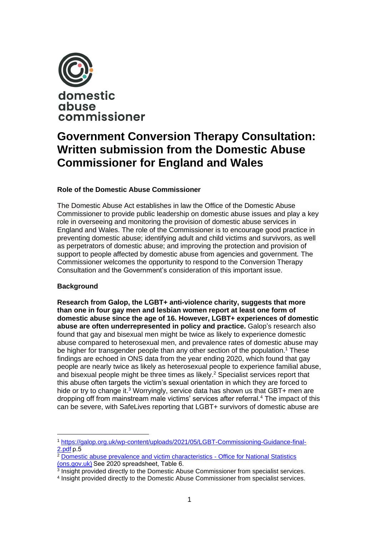

# **Government Conversion Therapy Consultation: Written submission from the Domestic Abuse Commissioner for England and Wales**

# **Role of the Domestic Abuse Commissioner**

The Domestic Abuse Act establishes in law the Office of the Domestic Abuse Commissioner to provide public leadership on domestic abuse issues and play a key role in overseeing and monitoring the provision of domestic abuse services in England and Wales. The role of the Commissioner is to encourage good practice in preventing domestic abuse; identifying adult and child victims and survivors, as well as perpetrators of domestic abuse; and improving the protection and provision of support to people affected by domestic abuse from agencies and government. The Commissioner welcomes the opportunity to respond to the Conversion Therapy Consultation and the Government's consideration of this important issue.

## **Background**

**Research from Galop, the LGBT+ anti-violence charity, suggests that more than one in four gay men and lesbian women report at least one form of domestic abuse since the age of 16. However, LGBT+ experiences of domestic abuse are often underrepresented in policy and practice.** Galop's research also found that gay and bisexual men might be twice as likely to experience domestic abuse compared to heterosexual men, and prevalence rates of domestic abuse may be higher for transgender people than any other section of the population.<sup>1</sup> These findings are echoed in ONS data from the year ending 2020, which found that gay people are nearly twice as likely as heterosexual people to experience familial abuse, and bisexual people might be three times as likely. <sup>2</sup> Specialist services report that this abuse often targets the victim's sexual orientation in which they are forced to hide or try to change it.<sup>3</sup> Worryingly, service data has shown us that GBT+ men are dropping off from mainstream male victims' services after referral.<sup>4</sup> The impact of this can be severe, with SafeLives reporting that LGBT+ survivors of domestic abuse are

<sup>1</sup> [https://galop.org.uk/wp-content/uploads/2021/05/LGBT-Commissioning-Guidance-final-](https://galop.org.uk/wp-content/uploads/2021/05/LGBT-Commissioning-Guidance-final-2.pdf)[2.pdf](https://galop.org.uk/wp-content/uploads/2021/05/LGBT-Commissioning-Guidance-final-2.pdf)p.5

<sup>&</sup>lt;sup>2</sup> [Domestic abuse prevalence and victim characteristics -](https://www.ons.gov.uk/peoplepopulationandcommunity/crimeandjustice/datasets/domesticabuseprevalenceandvictimcharacteristicsappendixtables) Office for National Statistics [\(ons.gov.uk\) S](https://www.ons.gov.uk/peoplepopulationandcommunity/crimeandjustice/datasets/domesticabuseprevalenceandvictimcharacteristicsappendixtables)ee 2020 spreadsheet, Table 6.

<sup>3</sup> Insight provided directly to the Domestic Abuse Commissioner from specialist services.

<sup>4</sup> Insight provided directly to the Domestic Abuse Commissioner from specialist services.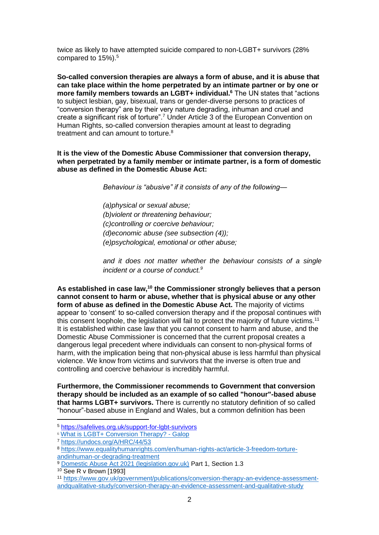twice as likely to have attempted suicide compared to non-LGBT+ survivors (28% compared to 15%).<sup>5</sup>

**So-called conversion therapies are always a form of abuse, and it is abuse that can take place within the home perpetrated by an intimate partner or by one or more family members towards an LGBT+ individual.<sup>6</sup>** The UN states that "actions to subject lesbian, gay, bisexual, trans or gender-diverse persons to practices of "conversion therapy" are by their very nature degrading, inhuman and cruel and create a significant risk of torture".<sup>7</sup> Under Article 3 of the European Convention on Human Rights, so-called conversion therapies amount at least to degrading treatment and can amount to torture.<sup>8</sup>

## **It is the view of the Domestic Abuse Commissioner that conversion therapy, when perpetrated by a family member or intimate partner, is a form of domestic abuse as defined in the Domestic Abuse Act:**

*Behaviour is "abusive" if it consists of any of the following—*

*(a)physical or sexual abuse; (b)violent or threatening behaviour; (c)controlling or coercive behaviour; (d)economic abuse (see subsection (4)); (e)psychological, emotional or other abuse;*

*and it does not matter whether the behaviour consists of a single incident or a course of conduct.<sup>9</sup>*

**As established in case law,<sup>10</sup> the Commissioner strongly believes that a person cannot consent to harm or abuse, whether that is physical abuse or any other form of abuse as defined in the Domestic Abuse Act.** The majority of victims appear to 'consent' to so-called conversion therapy and if the proposal continues with this consent loophole, the legislation will fail to protect the majority of future victims.<sup>11</sup> It is established within case law that you cannot consent to harm and abuse, and the Domestic Abuse Commissioner is concerned that the current proposal creates a dangerous legal precedent where individuals can consent to non-physical forms of harm, with the implication being that non-physical abuse is less harmful than physical violence. We know from victims and survivors that the inverse is often true and controlling and coercive behaviour is incredibly harmful.

**Furthermore, the Commissioner recommends to Government that conversion therapy should be included as an example of so called "honour"-based abuse that harms LGBT+ survivors.** There is currently no statutory definition of so called "honour"-based abuse in England and Wales, but a common definition has been

<sup>5</sup> <https://safelives.org.uk/support-for-lgbt-survivors>

<sup>6</sup> [What is LGBT+ Conversion Therapy? -](https://galop.org.uk/resource/conversion-therapy/) Galop

<sup>7</sup> <https://undocs.org/A/HRC/44/53>

<sup>8</sup> [https://www.equalityhumanrights.com/en/human-rights-act/article-3-freedom-torture](https://www.equalityhumanrights.com/en/human-rights-act/article-3-freedom-torture-andinhuman-or-degrading-treatment)[andinhuman-or-degrading-treatment](https://www.equalityhumanrights.com/en/human-rights-act/article-3-freedom-torture-andinhuman-or-degrading-treatment)

<sup>9</sup> [Domestic Abuse Act 2021 \(legislation.gov.uk\)](https://www.legislation.gov.uk/ukpga/2021/17/part/1/enacted) Part 1, Section 1.3

<sup>10</sup> See R v Brown [1993]

<sup>11</sup> [https://www.gov.uk/government/publications/conversion-therapy-an-evidence-assessment](https://www.gov.uk/government/publications/conversion-therapy-an-evidence-assessment-andqualitative-study/conversion-therapy-an-evidence-assessment-and-qualitative-study)[andqualitative-study/conversion-therapy-an-evidence-assessment-and-qualitative-study](https://www.gov.uk/government/publications/conversion-therapy-an-evidence-assessment-andqualitative-study/conversion-therapy-an-evidence-assessment-and-qualitative-study)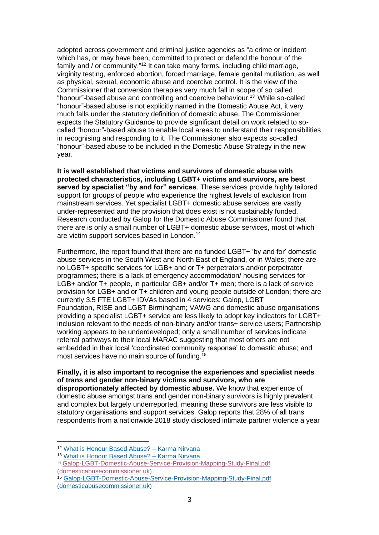adopted across government and criminal justice agencies as "a crime or incident which has, or may have been, committed to protect or defend the honour of the family and / or community."<sup>12</sup> It can take many forms, including child marriage, virginity testing, enforced abortion, forced marriage, female genital mutilation, as well as physical, sexual, economic abuse and coercive control. It is the view of the Commissioner that conversion therapies very much fall in scope of so called "honour"-based abuse and controlling and coercive behaviour.<sup>13</sup> While so-called "honour"-based abuse is not explicitly named in the Domestic Abuse Act, it very much falls under the statutory definition of domestic abuse. The Commissioner expects the Statutory Guidance to provide significant detail on work related to socalled "honour"-based abuse to enable local areas to understand their responsibilities in recognising and responding to it. The Commissioner also expects so-called "honour"-based abuse to be included in the Domestic Abuse Strategy in the new year.

**It is well established that victims and survivors of domestic abuse with protected characteristics, including LGBT+ victims and survivors, are best served by specialist "by and for" services**. These services provide highly tailored support for groups of people who experience the highest levels of exclusion from mainstream services. Yet specialist LGBT+ domestic abuse services are vastly under-represented and the provision that does exist is not sustainably funded. Research conducted by Galop for the Domestic Abuse Commissioner found that there are is only a small number of LGBT+ domestic abuse services, most of which are victim support services based in London. 14

Furthermore, the report found that there are no funded LGBT+ 'by and for' domestic abuse services in the South West and North East of England, or in Wales; there are no LGBT+ specific services for LGB+ and or T+ perpetrators and/or perpetrator programmes; there is a lack of emergency accommodation/ housing services for LGB+ and/or T+ people, in particular GB+ and/or T+ men; there is a lack of service provision for LGB+ and or T+ children and young people outside of London; there are currently 3.5 FTE LGBT+ IDVAs based in 4 services: Galop, LGBT Foundation, RISE and LGBT Birmingham; VAWG and domestic abuse organisations providing a specialist LGBT+ service are less likely to adopt key indicators for LGBT+ inclusion relevant to the needs of non-binary and/or trans+ service users; Partnership working appears to be underdeveloped; only a small number of services indicate referral pathways to their local MARAC suggesting that most others are not embedded in their local 'coordinated community response' to domestic abuse; and most services have no main source of funding.<sup>15</sup>

# **Finally, it is also important to recognise the experiences and specialist needs of trans and gender non-binary victims and survivors, who are**

**disproportionately affected by domestic abuse.** We know that experience of domestic abuse amongst trans and gender non-binary survivors is highly prevalent and complex but largely underreported, meaning these survivors are less visible to statutory organisations and support services. Galop reports that 28% of all trans respondents from a nationwide 2018 study disclosed intimate partner violence a year

<sup>12</sup> [What is Honour Based Abuse? –](https://karmanirvana.org.uk/get-help/what-is-honour-based-abuse/) Karma Nirvana

<sup>13</sup> [What is Honour Based Abuse? –](https://karmanirvana.org.uk/get-help/what-is-honour-based-abuse/) Karma Nirvana

<sup>14</sup> [Galop-LGBT-Domestic-Abuse-Service-Provision-Mapping-Study-Final.pdf](https://domesticabusecommissioner.uk/wp-content/uploads/2021/11/Galop-LGBT-Domestic-Abuse-Service-Provision-Mapping-Study-Final.pdf)  [\(domesticabusecommissioner.uk\)](https://domesticabusecommissioner.uk/wp-content/uploads/2021/11/Galop-LGBT-Domestic-Abuse-Service-Provision-Mapping-Study-Final.pdf)

<sup>15</sup> [Galop-LGBT-Domestic-Abuse-Service-Provision-Mapping-Study-Final.pdf](https://domesticabusecommissioner.uk/wp-content/uploads/2021/11/Galop-LGBT-Domestic-Abuse-Service-Provision-Mapping-Study-Final.pdf)  [\(domesticabusecommissioner.uk\)](https://domesticabusecommissioner.uk/wp-content/uploads/2021/11/Galop-LGBT-Domestic-Abuse-Service-Provision-Mapping-Study-Final.pdf)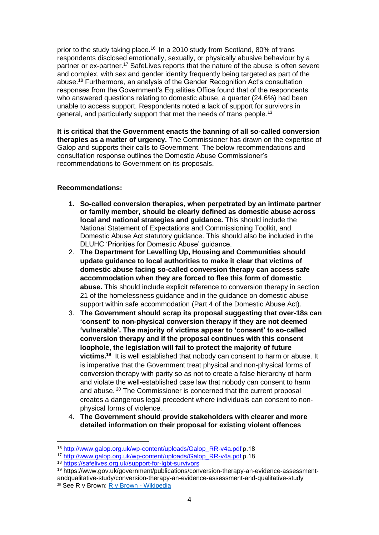prior to the study taking place.<sup>16</sup> In a 2010 study from Scotland, 80% of trans respondents disclosed emotionally, sexually, or physically abusive behaviour by a partner or ex-partner.<sup>17</sup> SafeLives reports that the nature of the abuse is often severe and complex, with sex and gender identity frequently being targeted as part of the abuse.<sup>18</sup> Furthermore, an analysis of the Gender Recognition Act's consultation responses from the Government's Equalities Office found that of the respondents who answered questions relating to domestic abuse, a quarter (24.6%) had been unable to access support. Respondents noted a lack of support for survivors in general, and particularly support that met the needs of trans people.<sup>13</sup>

**It is critical that the Government enacts the banning of all so-called conversion therapies as a matter of urgency.** The Commissioner has drawn on the expertise of Galop and supports their calls to Government. The below recommendations and consultation response outlines the Domestic Abuse Commissioner's recommendations to Government on its proposals.

# **Recommendations:**

- **1. So-called conversion therapies, when perpetrated by an intimate partner or family member, should be clearly defined as domestic abuse across local and national strategies and guidance.** This should include the National Statement of Expectations and Commissioning Toolkit, and Domestic Abuse Act statutory guidance. This should also be included in the DLUHC 'Priorities for Domestic Abuse' guidance.
- 2. **The Department for Levelling Up, Housing and Communities should update guidance to local authorities to make it clear that victims of domestic abuse facing so-called conversion therapy can access safe accommodation when they are forced to flee this form of domestic abuse.** This should include explicit reference to conversion therapy in section 21 of the homelessness guidance and in the guidance on domestic abuse support within safe accommodation (Part 4 of the Domestic Abuse Act).
- 3. **The Government should scrap its proposal suggesting that over-18s can 'consent' to non-physical conversion therapy if they are not deemed 'vulnerable'. The majority of victims appear to 'consent' to so-called conversion therapy and if the proposal continues with this consent loophole, the legislation will fail to protect the majority of future victims.<sup>19</sup>** It is well established that nobody can consent to harm or abuse. It is imperative that the Government treat physical and non-physical forms of conversion therapy with parity so as not to create a false hierarchy of harm and violate the well-established case law that nobody can consent to harm and abuse. <sup>20</sup> The Commissioner is concerned that the current proposal creates a dangerous legal precedent where individuals can consent to nonphysical forms of violence.
- 4. **The Government should provide stakeholders with clearer and more detailed information on their proposal for existing violent offences**

<sup>16</sup> [http://www.galop.org.uk/wp-content/uploads/Galop\\_RR-v4a.pdf p](http://www.galop.org.uk/wp-content/uploads/Galop_RR-v4a.pdf).18

<sup>17</sup> [http://www.galop.org.uk/wp-content/uploads/Galop\\_RR-v4a.pdf p](http://www.galop.org.uk/wp-content/uploads/Galop_RR-v4a.pdf).18

<sup>18</sup> <https://safelives.org.uk/support-for-lgbt-survivors>

<sup>19</sup> https://www.gov.uk/government/publications/conversion-therapy-an-evidence-assessmentandqualitative-study/conversion-therapy-an-evidence-assessment-and-qualitative-study <sup>20</sup> See R v Brown: [R v Brown -](https://en.wikipedia.org/wiki/R_v_Brown#Similar_cases) Wikipedia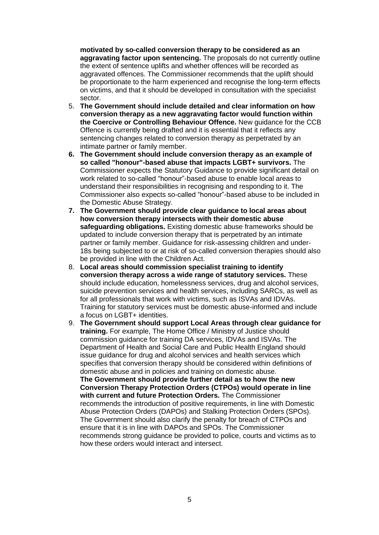**motivated by so-called conversion therapy to be considered as an aggravating factor upon sentencing.** The proposals do not currently outline the extent of sentence uplifts and whether offences will be recorded as aggravated offences. The Commissioner recommends that the uplift should be proportionate to the harm experienced and recognise the long-term effects on victims, and that it should be developed in consultation with the specialist sector.

- 5. **The Government should include detailed and clear information on how conversion therapy as a new aggravating factor would function within the Coercive or Controlling Behaviour Offence.** New guidance for the CCB Offence is currently being drafted and it is essential that it reflects any sentencing changes related to conversion therapy as perpetrated by an intimate partner or family member.
- **6. The Government should include conversion therapy as an example of so called "honour"-based abuse that impacts LGBT+ survivors.** The Commissioner expects the Statutory Guidance to provide significant detail on work related to so-called "honour"-based abuse to enable local areas to understand their responsibilities in recognising and responding to it. The Commissioner also expects so-called "honour"-based abuse to be included in the Domestic Abuse Strategy.
- **7. The Government should provide clear guidance to local areas about how conversion therapy intersects with their domestic abuse safeguarding obligations.** Existing domestic abuse frameworks should be updated to include conversion therapy that is perpetrated by an intimate partner or family member. Guidance for risk-assessing children and under-18s being subjected to or at risk of so-called conversion therapies should also be provided in line with the Children Act.
- 8. **Local areas should commission specialist training to identify conversion therapy across a wide range of statutory services.** These should include education, homelessness services, drug and alcohol services, suicide prevention services and health services, including SARCs, as well as for all professionals that work with victims, such as ISVAs and IDVAs. Training for statutory services must be domestic abuse-informed and include a focus on LGBT+ identities.
- 9. **The Government should support Local Areas through clear guidance for training.** For example, The Home Office / Ministry of Justice should commission guidance for training DA services, IDVAs and ISVAs. The Department of Health and Social Care and Public Health England should issue guidance for drug and alcohol services and health services which specifies that conversion therapy should be considered within definitions of domestic abuse and in policies and training on domestic abuse. **The Government should provide further detail as to how the new Conversion Therapy Protection Orders (CTPOs) would operate in line with current and future Protection Orders.** The Commissioner recommends the introduction of positive requirements, in line with Domestic Abuse Protection Orders (DAPOs) and Stalking Protection Orders (SPOs). The Government should also clarify the penalty for breach of CTPOs and ensure that it is in line with DAPOs and SPOs. The Commissioner recommends strong guidance be provided to police, courts and victims as to how these orders would interact and intersect.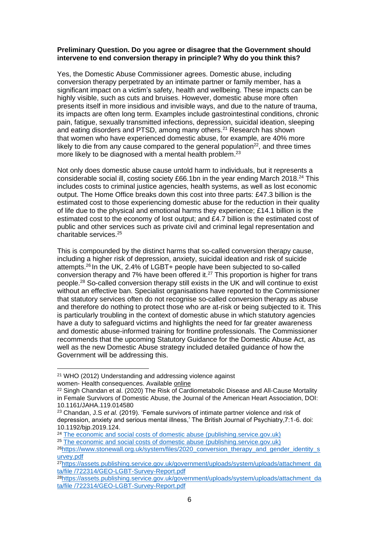## **Preliminary Question. Do you agree or disagree that the Government should intervene to end conversion therapy in principle? Why do you think this?**

Yes, the Domestic Abuse Commissioner agrees. Domestic abuse, including conversion therapy perpetrated by an intimate partner or family member, has a significant impact on a victim's safety, health and wellbeing. These impacts can be highly visible, such as cuts and bruises. However, domestic abuse more often presents itself in more insidious and invisible ways, and due to the nature of trauma, its impacts are often long term. Examples include gastrointestinal conditions, chronic pain, fatigue, sexually transmitted infections, depression, suicidal ideation, sleeping and eating disorders and PTSD, among many others.<sup>21</sup> Research has shown that women who have experienced domestic abuse, for example, are 40% more likely to die from any cause compared to the general population $2^2$ , and three times more likely to be diagnosed with a mental health problem. 23

Not only does domestic abuse cause untold harm to individuals, but it represents a considerable social ill, costing society £66.1bn in the year ending March 2018.<sup>24</sup> This includes costs to criminal justice agencies, health systems, as well as lost economic output. The Home Office breaks down this cost into three parts: £47.3 billion is the estimated cost to those experiencing domestic abuse for the reduction in their quality of life due to the physical and emotional harms they experience; £14.1 billion is the estimated cost to the economy of lost output; and £4.7 billion is the estimated cost of public and other services such as private civil and criminal legal representation and charitable services. 25

This is compounded by the distinct harms that so-called conversion therapy cause, including a higher risk of depression, anxiety, suicidal ideation and risk of suicide attempts.<sup>26</sup> In the UK, 2.4% of LGBT+ people have been subjected to so-called conversion therapy and 7% have been offered it. <sup>27</sup> This proportion is higher for trans people.<sup>28</sup> So-called conversion therapy still exists in the UK and will continue to exist without an effective ban. Specialist organisations have reported to the Commissioner that statutory services often do not recognise so-called conversion therapy as abuse and therefore do nothing to protect those who are at-risk or being subjected to it. This is particularly troubling in the context of domestic abuse in which statutory agencies have a duty to safeguard victims and highlights the need for far greater awareness and domestic abuse-informed training for frontline professionals. The Commissioner recommends that the upcoming Statutory Guidance for the Domestic Abuse Act, as well as the new Domestic Abuse strategy included detailed guidance of how the Government will be addressing this.

<sup>25</sup> [The economic and social costs of domestic abuse \(publishing.service.gov.uk\)](https://assets.publishing.service.gov.uk/government/uploads/system/uploads/attachment_data/file/918897/horr107.pdf) <sup>26</sup>[https://www.stonewall.org.uk/system/files/2020\\_conversion\\_therapy\\_and\\_gender\\_identity\\_s](https://www.stonewall.org.uk/system/files/2020_conversion_therapy_and_gender_identity_survey.pdf)

<sup>21</sup> WHO (2012) Understanding and addressing violence against women- Health consequences. Available [online](https://www.who.int/iris/bitstream/10665/77432/1/WHO_RHR_12.36_eng.pdf?ua=1)

<sup>22</sup> Singh Chandan et al. (2020) The Risk of Cardiometabolic Disease and All-Cause Mortality in Female Survivors of Domestic Abuse, the Journal of the American Heart Association, DOI: 10.1161/JAHA.119.014580

<sup>23</sup> Chandan, J.S *et al.* (2019). 'Female survivors of intimate partner violence and risk of depression, anxiety and serious mental illness,' The British Journal of Psychiatry,7:1-6. doi: 10.1192/bjp.2019.124.

<sup>24</sup> [The economic and social costs of domestic abuse \(publishing.service.gov.uk\)](https://assets.publishing.service.gov.uk/government/uploads/system/uploads/attachment_data/file/918897/horr107.pdf)

[urvey.pdf](https://www.stonewall.org.uk/system/files/2020_conversion_therapy_and_gender_identity_survey.pdf)

<sup>27</sup>[https://assets.publishing.service.gov.uk/government/uploads/system/uploads/attachment\\_da](https://assets.publishing.service.gov.uk/government/uploads/system/uploads/attachment_data/file%20/722314/GEO-LGBT-Survey-Report.pdf) [ta/file /722314/GEO-LGBT-Survey-Report.pdf](https://assets.publishing.service.gov.uk/government/uploads/system/uploads/attachment_data/file%20/722314/GEO-LGBT-Survey-Report.pdf)

<sup>28</sup>[https://assets.publishing.service.gov.uk/government/uploads/system/uploads/attachment\\_da](https://assets.publishing.service.gov.uk/government/uploads/system/uploads/attachment_data/file%20/722314/GEO-LGBT-Survey-Report.pdf) [ta/file /722314/GEO-LGBT-Survey-Report.pdf](https://assets.publishing.service.gov.uk/government/uploads/system/uploads/attachment_data/file%20/722314/GEO-LGBT-Survey-Report.pdf)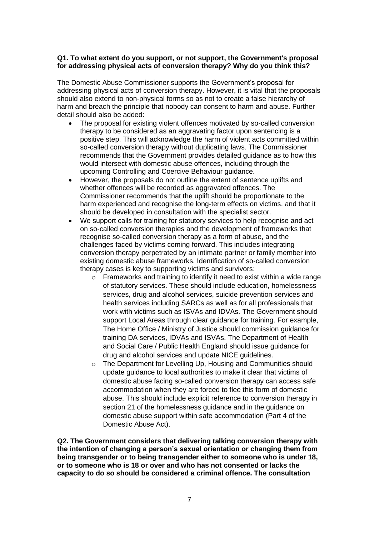## **Q1. To what extent do you support, or not support, the Government's proposal for addressing physical acts of conversion therapy? Why do you think this?**

The Domestic Abuse Commissioner supports the Government's proposal for addressing physical acts of conversion therapy. However, it is vital that the proposals should also extend to non-physical forms so as not to create a false hierarchy of harm and breach the principle that nobody can consent to harm and abuse. Further detail should also be added:

- The proposal for existing violent offences motivated by so-called conversion therapy to be considered as an aggravating factor upon sentencing is a positive step. This will acknowledge the harm of violent acts committed within so-called conversion therapy without duplicating laws. The Commissioner recommends that the Government provides detailed guidance as to how this would intersect with domestic abuse offences, including through the upcoming Controlling and Coercive Behaviour guidance.
- However, the proposals do not outline the extent of sentence uplifts and whether offences will be recorded as aggravated offences. The Commissioner recommends that the uplift should be proportionate to the harm experienced and recognise the long-term effects on victims, and that it should be developed in consultation with the specialist sector.
- We support calls for training for statutory services to help recognise and act on so-called conversion therapies and the development of frameworks that recognise so-called conversion therapy as a form of abuse, and the challenges faced by victims coming forward. This includes integrating conversion therapy perpetrated by an intimate partner or family member into existing domestic abuse frameworks. Identification of so-called conversion therapy cases is key to supporting victims and survivors:
	- o Frameworks and training to identify it need to exist within a wide range of statutory services. These should include education, homelessness services, drug and alcohol services, suicide prevention services and health services including SARCs as well as for all professionals that work with victims such as ISVAs and IDVAs. The Government should support Local Areas through clear guidance for training. For example, The Home Office / Ministry of Justice should commission guidance for training DA services, IDVAs and ISVAs. The Department of Health and Social Care / Public Health England should issue guidance for drug and alcohol services and update NICE guidelines.
	- o The Department for Levelling Up, Housing and Communities should update guidance to local authorities to make it clear that victims of domestic abuse facing so-called conversion therapy can access safe accommodation when they are forced to flee this form of domestic abuse. This should include explicit reference to conversion therapy in section 21 of the homelessness guidance and in the guidance on domestic abuse support within safe accommodation (Part 4 of the Domestic Abuse Act).

**Q2. The Government considers that delivering talking conversion therapy with the intention of changing a person's sexual orientation or changing them from being transgender or to being transgender either to someone who is under 18, or to someone who is 18 or over and who has not consented or lacks the capacity to do so should be considered a criminal offence. The consultation**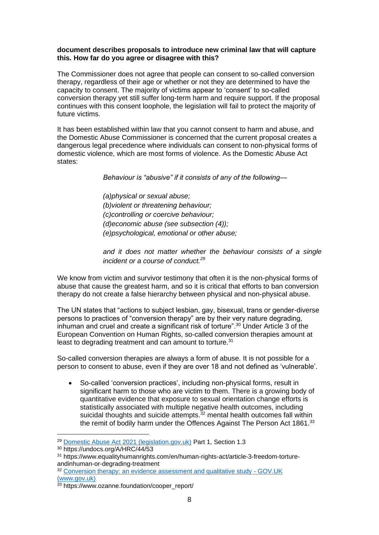## **document describes proposals to introduce new criminal law that will capture this. How far do you agree or disagree with this?**

The Commissioner does not agree that people can consent to so-called conversion therapy, regardless of their age or whether or not they are determined to have the capacity to consent. The majority of victims appear to 'consent' to so-called conversion therapy yet still suffer long-term harm and require support. If the proposal continues with this consent loophole, the legislation will fail to protect the majority of future victims.

It has been established within law that you cannot consent to harm and abuse, and the Domestic Abuse Commissioner is concerned that the current proposal creates a dangerous legal precedence where individuals can consent to non-physical forms of domestic violence, which are most forms of violence. As the Domestic Abuse Act states:

*Behaviour is "abusive" if it consists of any of the following—*

*(a)physical or sexual abuse; (b)violent or threatening behaviour; (c)controlling or coercive behaviour; (d)economic abuse (see subsection (4)); (e)psychological, emotional or other abuse;*

*and it does not matter whether the behaviour consists of a single incident or a course of conduct.<sup>29</sup>*

We know from victim and survivor testimony that often it is the non-physical forms of abuse that cause the greatest harm, and so it is critical that efforts to ban conversion therapy do not create a false hierarchy between physical and non-physical abuse.

The UN states that "actions to subject lesbian, gay, bisexual, trans or gender-diverse persons to practices of "conversion therapy" are by their very nature degrading, inhuman and cruel and create a significant risk of torture".<sup>30</sup> Under Article 3 of the European Convention on Human Rights, so-called conversion therapies amount at least to degrading treatment and can amount to torture.<sup>31</sup>

So-called conversion therapies are always a form of abuse. It is not possible for a person to consent to abuse, even if they are over 18 and not defined as 'vulnerable'.

• So-called 'conversion practices', including non-physical forms, result in significant harm to those who are victim to them. There is a growing body of quantitative evidence that exposure to sexual orientation change efforts is statistically associated with multiple negative health outcomes, including suicidal thoughts and suicide attempts.<sup>32</sup> mental health outcomes fall within the remit of bodily harm under the Offences Against The Person Act 1861.<sup>33</sup>

<sup>29</sup> [Domestic Abuse Act 2021 \(legislation.gov.uk\)](https://www.legislation.gov.uk/ukpga/2021/17/part/1/enacted) Part 1, Section 1.3

<sup>30</sup> https://undocs.org/A/HRC/44/53

<sup>31</sup> https://www.equalityhumanrights.com/en/human-rights-act/article-3-freedom-tortureandinhuman-or-degrading-treatment

<sup>32</sup> [Conversion therapy: an evidence assessment and qualitative study -](https://www.gov.uk/government/publications/conversion-therapy-an-evidence-assessment-and-qualitative-study/conversion-therapy-an-evidence-assessment-and-qualitative-study#what-are-the-outcomes-of-conversion-therapy-1) GOV.UK [\(www.gov.uk\)](https://www.gov.uk/government/publications/conversion-therapy-an-evidence-assessment-and-qualitative-study/conversion-therapy-an-evidence-assessment-and-qualitative-study#what-are-the-outcomes-of-conversion-therapy-1)

<sup>33</sup> https://www.ozanne.foundation/cooper\_report/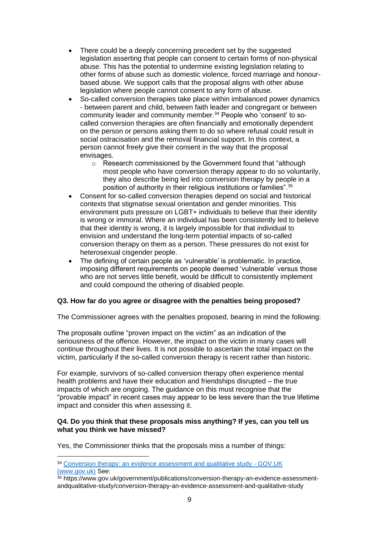- There could be a deeply concerning precedent set by the suggested legislation asserting that people can consent to certain forms of non-physical abuse. This has the potential to undermine existing legislation relating to other forms of abuse such as domestic violence, forced marriage and honourbased abuse. We support calls that the proposal aligns with other abuse legislation where people cannot consent to any form of abuse.
- So-called conversion therapies take place within imbalanced power dynamics - between parent and child, between faith leader and congregant or between community leader and community member.<sup>34</sup> People who 'consent' to socalled conversion therapies are often financially and emotionally dependent on the person or persons asking them to do so where refusal could result in social ostracisation and the removal financial support. In this context, a person cannot freely give their consent in the way that the proposal envisages.
	- o Research commissioned by the Government found that "although most people who have conversion therapy appear to do so voluntarily, they also describe being led into conversion therapy by people in a position of authority in their religious institutions or families".<sup>35</sup>
- Consent for so-called conversion therapies depend on social and historical contexts that stigmatise sexual orientation and gender minorities. This environment puts pressure on LGBT+ individuals to believe that their identity is wrong or immoral. Where an individual has been consistently led to believe that their identity is wrong, it is largely impossible for that individual to envision and understand the long-term potential impacts of so-called conversion therapy on them as a person. These pressures do not exist for heterosexual cisgender people.
- The defining of certain people as 'vulnerable' is problematic. In practice, imposing different requirements on people deemed 'vulnerable' versus those who are not serves little benefit, would be difficult to consistently implement and could compound the othering of disabled people.

# **Q3. How far do you agree or disagree with the penalties being proposed?**

The Commissioner agrees with the penalties proposed, bearing in mind the following:

The proposals outline "proven impact on the victim" as an indication of the seriousness of the offence. However, the impact on the victim in many cases will continue throughout their lives. It is not possible to ascertain the total impact on the victim, particularly if the so-called conversion therapy is recent rather than historic.

For example, survivors of so-called conversion therapy often experience mental health problems and have their education and friendships disrupted – the true impacts of which are ongoing. The guidance on this must recognise that the "provable impact" in recent cases may appear to be less severe than the true lifetime impact and consider this when assessing it.

## **Q4. Do you think that these proposals miss anything? If yes, can you tell us what you think we have missed?**

Yes, the Commissioner thinks that the proposals miss a number of things:

<sup>34</sup> [Conversion therapy: an evidence assessment and qualitative study -](https://www.gov.uk/government/publications/conversion-therapy-an-evidence-assessment-and-qualitative-study/conversion-therapy-an-evidence-assessment-and-qualitative-study#what-forms-does-conversion-therapy-take-1) GOV.UK [\(www.gov.uk\)](https://www.gov.uk/government/publications/conversion-therapy-an-evidence-assessment-and-qualitative-study/conversion-therapy-an-evidence-assessment-and-qualitative-study#what-forms-does-conversion-therapy-take-1) See:

<sup>35</sup> https://www.gov.uk/government/publications/conversion-therapy-an-evidence-assessmentandqualitative-study/conversion-therapy-an-evidence-assessment-and-qualitative-study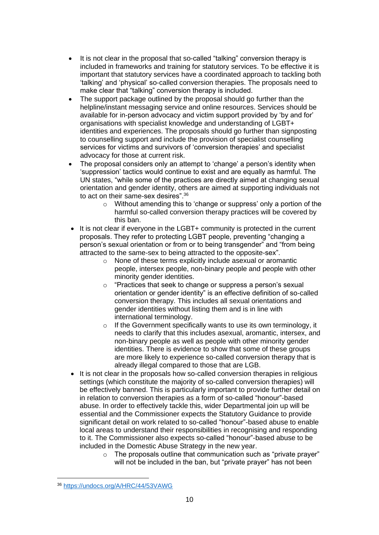- It is not clear in the proposal that so-called "talking" conversion therapy is included in frameworks and training for statutory services. To be effective it is important that statutory services have a coordinated approach to tackling both 'talking' and 'physical' so-called conversion therapies. The proposals need to make clear that "talking" conversion therapy is included.
- The support package outlined by the proposal should go further than the helpline/instant messaging service and online resources. Services should be available for in-person advocacy and victim support provided by 'by and for' organisations with specialist knowledge and understanding of LGBT+ identities and experiences. The proposals should go further than signposting to counselling support and include the provision of specialist counselling services for victims and survivors of 'conversion therapies' and specialist advocacy for those at current risk.
- The proposal considers only an attempt to 'change' a person's identity when 'suppression' tactics would continue to exist and are equally as harmful. The UN states, "while some of the practices are directly aimed at changing sexual orientation and gender identity, others are aimed at supporting individuals not to act on their same-sex desires".<sup>36</sup>
	- o Without amending this to 'change or suppress' only a portion of the harmful so-called conversion therapy practices will be covered by this ban.
- It is not clear if everyone in the LGBT+ community is protected in the current proposals. They refer to protecting LGBT people, preventing "changing a person's sexual orientation or from or to being transgender" and "from being attracted to the same-sex to being attracted to the opposite-sex".
	- o None of these terms explicitly include asexual or aromantic people, intersex people, non-binary people and people with other minority gender identities.
	- o "Practices that seek to change or suppress a person's sexual orientation or gender identity" is an effective definition of so-called conversion therapy. This includes all sexual orientations and gender identities without listing them and is in line with international terminology.
	- o If the Government specifically wants to use its own terminology, it needs to clarify that this includes asexual, aromantic, intersex, and non-binary people as well as people with other minority gender identities. There is evidence to show that some of these groups are more likely to experience so-called conversion therapy that is already illegal compared to those that are LGB.
- It is not clear in the proposals how so-called conversion therapies in religious settings (which constitute the majority of so-called conversion therapies) will be effectively banned. This is particularly important to provide further detail on in relation to conversion therapies as a form of so-called "honour"-based abuse. In order to effectively tackle this, wider Departmental join up will be essential and the Commissioner expects the Statutory Guidance to provide significant detail on work related to so-called "honour"-based abuse to enable local areas to understand their responsibilities in recognising and responding to it. The Commissioner also expects so-called "honour"-based abuse to be included in the Domestic Abuse Strategy in the new year.
	- o The proposals outline that communication such as "private prayer" will not be included in the ban, but "private prayer" has not been

<sup>36</sup> <https://undocs.org/A/HRC/44/53VAWG>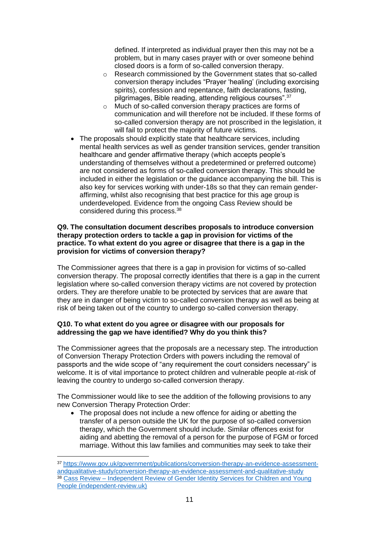defined. If interpreted as individual prayer then this may not be a problem, but in many cases prayer with or over someone behind closed doors is a form of so-called conversion therapy.

- o Research commissioned by the Government states that so-called conversion therapy includes "Prayer 'healing' (including exorcising spirits), confession and repentance, faith declarations, fasting, pilgrimages, Bible reading, attending religious courses". 37
- o Much of so-called conversion therapy practices are forms of communication and will therefore not be included. If these forms of so-called conversion therapy are not proscribed in the legislation, it will fail to protect the majority of future victims.
- The proposals should explicitly state that healthcare services, including mental health services as well as gender transition services, gender transition healthcare and gender affirmative therapy (which accepts people's understanding of themselves without a predetermined or preferred outcome) are not considered as forms of so-called conversion therapy. This should be included in either the legislation or the guidance accompanying the bill. This is also key for services working with under-18s so that they can remain genderaffirming, whilst also recognising that best practice for this age group is underdeveloped. Evidence from the ongoing Cass Review should be considered during this process. 38

## **Q9. The consultation document describes proposals to introduce conversion therapy protection orders to tackle a gap in provision for victims of the practice. To what extent do you agree or disagree that there is a gap in the provision for victims of conversion therapy?**

The Commissioner agrees that there is a gap in provision for victims of so-called conversion therapy. The proposal correctly identifies that there is a gap in the current legislation where so-called conversion therapy victims are not covered by protection orders. They are therefore unable to be protected by services that are aware that they are in danger of being victim to so-called conversion therapy as well as being at risk of being taken out of the country to undergo so-called conversion therapy.

## **Q10. To what extent do you agree or disagree with our proposals for addressing the gap we have identified? Why do you think this?**

The Commissioner agrees that the proposals are a necessary step. The introduction of Conversion Therapy Protection Orders with powers including the removal of passports and the wide scope of "any requirement the court considers necessary" is welcome. It is of vital importance to protect children and vulnerable people at-risk of leaving the country to undergo so-called conversion therapy.

The Commissioner would like to see the addition of the following provisions to any new Conversion Therapy Protection Order:

• The proposal does not include a new offence for aiding or abetting the transfer of a person outside the UK for the purpose of so-called conversion therapy, which the Government should include. Similar offences exist for aiding and abetting the removal of a person for the purpose of FGM or forced marriage. Without this law families and communities may seek to take their

<sup>37</sup> [https://www.gov.uk/government/publications/conversion-therapy-an-evidence-assessment](https://www.gov.uk/government/publications/conversion-therapy-an-evidence-assessment-andqualitative-study/conversion-therapy-an-evidence-assessment-and-qualitative-study)[andqualitative-study/conversion-therapy-an-evidence-assessment-and-qualitative-study](https://www.gov.uk/government/publications/conversion-therapy-an-evidence-assessment-andqualitative-study/conversion-therapy-an-evidence-assessment-and-qualitative-study) <sup>38</sup> Cass Review – [Independent Review of Gender Identity Services for Children and Young](https://cass.independent-review.uk/)  [People \(independent-review.uk\)](https://cass.independent-review.uk/)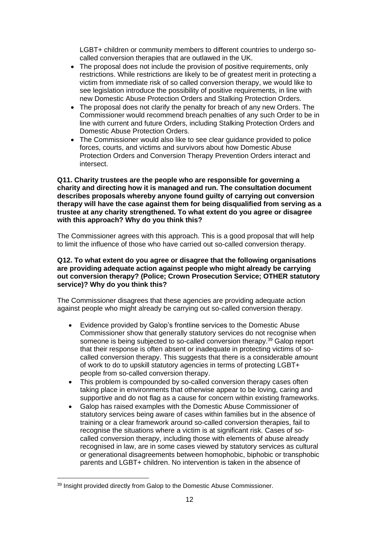LGBT+ children or community members to different countries to undergo socalled conversion therapies that are outlawed in the UK.

- The proposal does not include the provision of positive requirements, only restrictions. While restrictions are likely to be of greatest merit in protecting a victim from immediate risk of so called conversion therapy, we would like to see legislation introduce the possibility of positive requirements, in line with new Domestic Abuse Protection Orders and Stalking Protection Orders.
- The proposal does not clarify the penalty for breach of any new Orders. The Commissioner would recommend breach penalties of any such Order to be in line with current and future Orders, including Stalking Protection Orders and Domestic Abuse Protection Orders.
- The Commissioner would also like to see clear guidance provided to police forces, courts, and victims and survivors about how Domestic Abuse Protection Orders and Conversion Therapy Prevention Orders interact and intersect.

**Q11. Charity trustees are the people who are responsible for governing a charity and directing how it is managed and run. The consultation document describes proposals whereby anyone found guilty of carrying out conversion therapy will have the case against them for being disqualified from serving as a trustee at any charity strengthened. To what extent do you agree or disagree with this approach? Why do you think this?** 

The Commissioner agrees with this approach. This is a good proposal that will help to limit the influence of those who have carried out so-called conversion therapy.

## **Q12. To what extent do you agree or disagree that the following organisations are providing adequate action against people who might already be carrying out conversion therapy? (Police; Crown Prosecution Service; OTHER statutory service)? Why do you think this?**

The Commissioner disagrees that these agencies are providing adequate action against people who might already be carrying out so-called conversion therapy.

- Evidence provided by Galop's frontline services to the Domestic Abuse Commissioner show that generally statutory services do not recognise when someone is being subjected to so-called conversion therapy.<sup>39</sup> Galop report that their response is often absent or inadequate in protecting victims of socalled conversion therapy. This suggests that there is a considerable amount of work to do to upskill statutory agencies in terms of protecting LGBT+ people from so-called conversion therapy.
- This problem is compounded by so-called conversion therapy cases often taking place in environments that otherwise appear to be loving, caring and supportive and do not flag as a cause for concern within existing frameworks.
- Galop has raised examples with the Domestic Abuse Commissioner of statutory services being aware of cases within families but in the absence of training or a clear framework around so-called conversion therapies, fail to recognise the situations where a victim is at significant risk. Cases of socalled conversion therapy, including those with elements of abuse already recognised in law, are in some cases viewed by statutory services as cultural or generational disagreements between homophobic, biphobic or transphobic parents and LGBT+ children. No intervention is taken in the absence of

<sup>&</sup>lt;sup>39</sup> Insight provided directly from Galop to the Domestic Abuse Commissioner.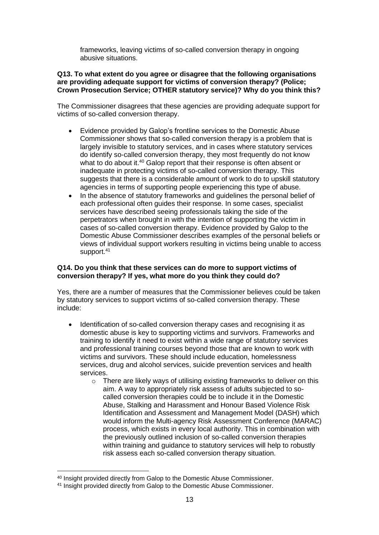frameworks, leaving victims of so-called conversion therapy in ongoing abusive situations.

## **Q13. To what extent do you agree or disagree that the following organisations are providing adequate support for victims of conversion therapy? (Police; Crown Prosecution Service; OTHER statutory service)? Why do you think this?**

The Commissioner disagrees that these agencies are providing adequate support for victims of so-called conversion therapy.

- Evidence provided by Galop's frontline services to the Domestic Abuse Commissioner shows that so-called conversion therapy is a problem that is largely invisible to statutory services, and in cases where statutory services do identify so-called conversion therapy, they most frequently do not know what to do about it.<sup>40</sup> Galop report that their response is often absent or inadequate in protecting victims of so-called conversion therapy. This suggests that there is a considerable amount of work to do to upskill statutory agencies in terms of supporting people experiencing this type of abuse.
- In the absence of statutory frameworks and guidelines the personal belief of each professional often guides their response. In some cases, specialist services have described seeing professionals taking the side of the perpetrators when brought in with the intention of supporting the victim in cases of so-called conversion therapy. Evidence provided by Galop to the Domestic Abuse Commissioner describes examples of the personal beliefs or views of individual support workers resulting in victims being unable to access support.<sup>41</sup>

## **Q14. Do you think that these services can do more to support victims of conversion therapy? If yes, what more do you think they could do?**

Yes, there are a number of measures that the Commissioner believes could be taken by statutory services to support victims of so-called conversion therapy. These include:

- Identification of so-called conversion therapy cases and recognising it as domestic abuse is key to supporting victims and survivors. Frameworks and training to identify it need to exist within a wide range of statutory services and professional training courses beyond those that are known to work with victims and survivors. These should include education, homelessness services, drug and alcohol services, suicide prevention services and health services.
	- o There are likely ways of utilising existing frameworks to deliver on this aim. A way to appropriately risk assess of adults subjected to socalled conversion therapies could be to include it in the Domestic Abuse, Stalking and Harassment and Honour Based Violence Risk Identification and Assessment and Management Model (DASH) which would inform the Multi-agency Risk Assessment Conference (MARAC) process, which exists in every local authority. This in combination with the previously outlined inclusion of so-called conversion therapies within training and guidance to statutory services will help to robustly risk assess each so-called conversion therapy situation.

<sup>40</sup> Insight provided directly from Galop to the Domestic Abuse Commissioner.

<sup>&</sup>lt;sup>41</sup> Insight provided directly from Galop to the Domestic Abuse Commissioner.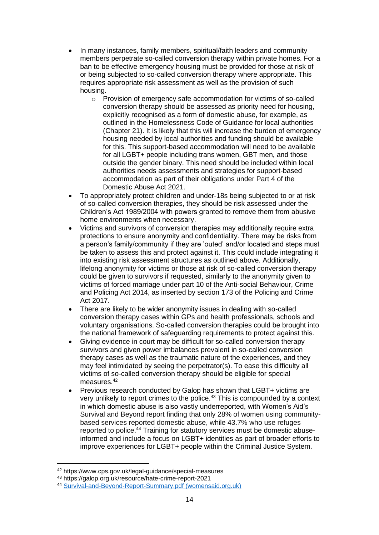- In many instances, family members, spiritual/faith leaders and community members perpetrate so-called conversion therapy within private homes. For a ban to be effective emergency housing must be provided for those at risk of or being subjected to so-called conversion therapy where appropriate. This requires appropriate risk assessment as well as the provision of such housing.
	- o Provision of emergency safe accommodation for victims of so-called conversion therapy should be assessed as priority need for housing, explicitly recognised as a form of domestic abuse, for example, as outlined in the Homelessness Code of Guidance for local authorities (Chapter 21). It is likely that this will increase the burden of emergency housing needed by local authorities and funding should be available for this. This support-based accommodation will need to be available for all LGBT+ people including trans women, GBT men, and those outside the gender binary. This need should be included within local authorities needs assessments and strategies for support-based accommodation as part of their obligations under Part 4 of the Domestic Abuse Act 2021.
- To appropriately protect children and under-18s being subjected to or at risk of so-called conversion therapies, they should be risk assessed under the Children's Act 1989/2004 with powers granted to remove them from abusive home environments when necessary.
- Victims and survivors of conversion therapies may additionally require extra protections to ensure anonymity and confidentiality. There may be risks from a person's family/community if they are 'outed' and/or located and steps must be taken to assess this and protect against it. This could include integrating it into existing risk assessment structures as outlined above. Additionally, lifelong anonymity for victims or those at risk of so-called conversion therapy could be given to survivors if requested, similarly to the anonymity given to victims of forced marriage under part 10 of the Anti-social Behaviour, Crime and Policing Act 2014, as inserted by section 173 of the Policing and Crime Act 2017.
- There are likely to be wider anonymity issues in dealing with so-called conversion therapy cases within GPs and health professionals, schools and voluntary organisations. So-called conversion therapies could be brought into the national framework of safeguarding requirements to protect against this.
- Giving evidence in court may be difficult for so-called conversion therapy survivors and given power imbalances prevalent in so-called conversion therapy cases as well as the traumatic nature of the experiences, and they may feel intimidated by seeing the perpetrator(s). To ease this difficulty all victims of so-called conversion therapy should be eligible for special measures. 42
- Previous research conducted by Galop has shown that LGBT+ victims are very unlikely to report crimes to the police.<sup>43</sup> This is compounded by a context in which domestic abuse is also vastly underreported, with Women's Aid's Survival and Beyond report finding that only 28% of women using communitybased services reported domestic abuse, while 43.7% who use refuges reported to police. <sup>44</sup> Training for statutory services must be domestic abuseinformed and include a focus on LGBT+ identities as part of broader efforts to improve experiences for LGBT+ people within the Criminal Justice System.

<sup>42</sup> https://www.cps.gov.uk/legal-guidance/special-measures

<sup>43</sup> https://galop.org.uk/resource/hate-crime-report-2021

<sup>44</sup> [Survival-and-Beyond-Report-Summary.pdf \(womensaid.org.uk\)](https://www.womensaid.org.uk/wp-content/uploads/2018/03/Survival-and-Beyond-Report-Summary.pdf#:~:text=Survival%20and%20Beyond%3A%20The%20Domestic%20Abuse%20Report%202017is,all%20five%20of%20our%20major%20sources%20of%20data.)